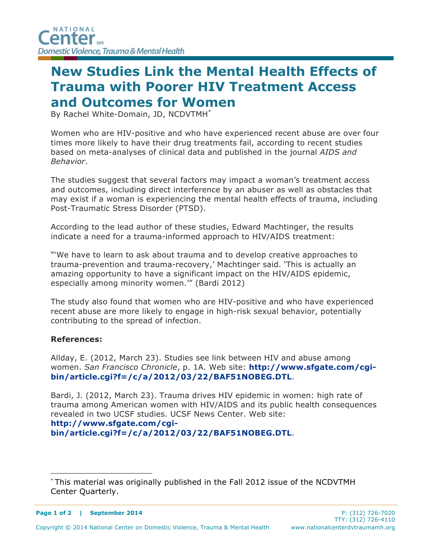# **New Studies Link the Mental Health Effects of Trauma with Poorer HIV Treatment Access and Outcomes for Women**

By Rachel White-Domain, JD, NCDVTMH\*

Women who are HIV-positive and who have experienced recent abuse are over four times more likely to have their drug treatments fail, according to recent studies based on meta-analyses of clinical data and published in the journal *AIDS and Behavior*.

The studies suggest that several factors may impact a woman's treatment access and outcomes, including direct interference by an abuser as well as obstacles that may exist if a woman is experiencing the mental health effects of trauma, including Post-Traumatic Stress Disorder (PTSD).

According to the lead author of these studies, Edward Machtinger, the results indicate a need for a trauma-informed approach to HIV/AIDS treatment:

"'We have to learn to ask about trauma and to develop creative approaches to trauma-prevention and trauma-recovery,' Machtinger said. 'This is actually an amazing opportunity to have a significant impact on the HIV/AIDS epidemic, especially among minority women.'" (Bardi 2012)

The study also found that women who are HIV-positive and who have experienced recent abuse are more likely to engage in high-risk sexual behavior, potentially contributing to the spread of infection.

### **References:**

Allday, E. (2012, March 23). Studies see link between HIV and abuse among women. *San Francisco Chronicle*, p. 1A. Web site: **http://www.sfgate.com/cgibin/article.cgi?f=/c/a/2012/03/22/BAF51NOBEG.DTL**.

Bardi, J. (2012, March 23). Trauma drives HIV epidemic in women: high rate of trauma among American women with HIV/AIDS and its public health consequences revealed in two UCSF studies. UCSF News Center. Web site: **http://www.sfgate.com/cgibin/article.cgi?f=/c/a/2012/03/22/BAF51NOBEG.DTL**.

 <sup>\*</sup> This material was originally published in the Fall 2012 issue of the NCDVTMH Center Quarterly.